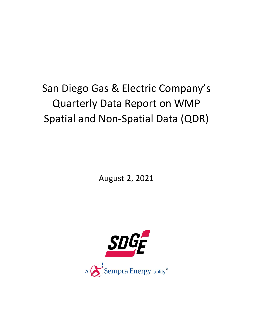## San Diego Gas & Electric Company's Quarterly Data Report on WMP Spatial and Non‐Spatial Data (QDR)

August 2, 2021

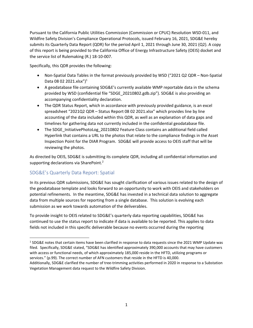Pursuant to the California Public Utilities Commission (Commission or CPUC) Resolution WSD‐011, and Wildfire Safety Division's Compliance Operational Protocols, issued February 16, 2021, SDG&E hereby submits its Quarterly Data Report (QDR) for the period April 1, 2021 through June 30, 2021 (Q2). A copy of this report is being provided to the California Office of Energy Infrastructure Safety (OEIS) docket and the service list of Rulemaking (R.) 18‐10‐007.

Specifically, this QDR provides the following:

- Non-Spatial Data Tables in the format previously provided by WSD ("2021 Q2 QDR Non-Spatial Data 08 02 2021.xlsx")<sup>1</sup>
- A geodatabase file containing SDG&E's currently available WMP reportable data in the schema provided by WSD (confidential file "SDGE\_20210802.gdb.zip"). SDG&E is also providing an accompanying confidentiality declaration.
- The QDR Status Report, which in accordance with previously provided guidance, is an excel spreadsheet "2021Q2 QDR – Status Report 08 02 2021.xlsx" which provides line by line accounting of the data included within this QDR, as well as an explanation of data gaps and timelines for gathering data not currently included in the confidential geodatabase file.
- The SDGE\_InitiativePhotoLog\_20210802 Feature Class contains an additional field called Hyperlink that contains a URL to the photos that relate to the compliance findings in the Asset Inspection Point for the DIAR Program. SDG&E will provide access to OEIS staff that will be reviewing the photos.

As directed by OEIS, SDG&E is submitting its complete QDR, including all confidential information and supporting declarations via SharePoint.<sup>2</sup>

## SDG&E's Quarterly Data Report: Spatial

In its previous QDR submissions, SDG&E has sought clarification of various issues related to the design of the geodatabase template and looks forward to an opportunity to work with OEIS and stakeholders on potential refinements. In the meantime, SDG&E has invested in a technical data solution to aggregate data from multiple sources for reporting from a single database. This solution is evolving each submission as we work towards automation of the deliverables.

To provide insight to OEIS related to SDG&E's quarterly data reporting capabilities, SDG&E has continued to use the status report to indicate if data is available to be reported. This applies to data fields not included in this specific deliverable because no events occurred during the reporting

<sup>&</sup>lt;sup>1</sup> SDG&E notes that certain items have been clarified in response to data requests since the 2021 WMP Update was filed. Specifically, SDG&E stated, "SDG&E has identified approximately 390,000 accounts that may have customers with access or functional needs, of which approximately 185,000 reside in the HFTD, utilizing programs or services." (p.99). The correct number of AFN customers that reside in the HFTD is 40,000.

Additionally, SDG&E clarified the number of tree‐trimming activities performed in 2020 in response to a Substation Vegetation Management data request to the Wildfire Safety Division.